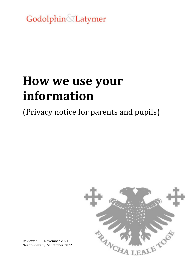Godolphin&Latymer

# **How we use your information**

(Privacy notice for parents and pupils)



Reviewed: DL November 2021 Next review by: September 2022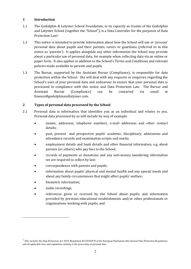## **1 Introduction**

- 1.1 The Godolphin & Latymer School Foundation, in its capacity as trustee of the Godolphin and Latymer School (together the "School"), is a Data Controller for the purposes of Data Protection Law1.
- 1.2 This notice is intended to provide information about how the School will use or 'process' personal data about pupils and their parents, carers or guardians (referred to in this notice as 'parents'). It applies alongside any other information the School may provide about a particular use of personal data, for example when collecting data via an online or paper form. It also applies in addition to the School's Terms and Conditions and relevant policies made available to parents and pupils.
- 1.3 The Bursar, supported by the Assistant Bursar (Compliance), is responsible for data protection within the School. She will deal with any requests or enquiries regarding the School's uses of your personal data and endeavour to ensure that your personal data is processed in compliance with this notice and Data Protection Law. The Bursar and Assistant Bursar (Compliance) can be contacted via email at finance@godolphinandlatymer.com.

# **2 Types of personal data processed by the School**

- 2.1 Personal data is information that identifies you as an individual and relates to you. Personal data processed by us will include by way of example:
	- names, addresses, telephone numbers, e-mail addresses and other contact details;
	- past, present and prospective pupils' academic, disciplinary, admissions and attendance records and examination scripts and marks;
	- employment details and bank details and other financial information, e.g. about parents (or others) who pay fees to the School;
	- records of payments or donations and any anti-money laundering information we are required to collect by law;
	- correspondence with parents and pupils;
	- information about pupils' physical and mental health and any special needs and about any family circumstances that might affect pupils' welfare;
	- biometric information;
	- audio recordings;

 $\ddot{\phantom{a}}$ 

 references given or received by the School about pupils, and information provided by previous educational establishments and/or other professionals or organisations working with pupils; and

 $<sup>1</sup>$  This includes the Data Protection Act 2018, Regulation EU/2016/679 of the European Parliament (the General Data Protection Regulation)</sup> and all applicable laws and regulations relating to the processing of personal data.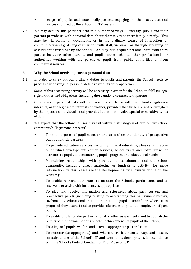- images of pupils, and occasionally parents, engaging in school activities, and images captured by the School's CCTV system.
- 2.2 We may acquire this personal data in a number of ways. Generally, pupils and their parents provide us with personal data about themselves or their family directly. This may be via forms or documents, or in the ordinary course of interaction or communication (e.g. during discussions with staff, via email or through screening or assessment carried out by the School). We may also acquire personal data from third parties including other parents and pupils, other schools, other professionals or authorities working with the parent or pupil, from public authorities or from commercial sources.

# **3 Why the School needs to process personal data**

- 3.1 In order to carry out our ordinary duties to pupils and parents, the School needs to process a wide range of personal data as part of its daily operation.
- 3.2 Some of this processing activity will be necessary in order for the School to fulfil its legal rights, duties and obligations, including those under a contract with parents.
- 3.3 Other uses of personal data will be made in accordance with the School's legitimate interests, or the legitimate interests of another, provided that these are not outweighed by the impact on individuals, and provided it does not involve special or sensitive types of data.
- 3.4 We expect that the following uses may fall within that category of our, or our school community's, 'legitimate interests':
	- For the purposes of pupil selection and to confirm the identity of prospective pupils and their parents;
	- To provide education services, including musical education, physical education or spiritual development, career services, school visits and extra-curricular activities to pupils, and monitoring pupils' progress and educational needs;
	- Maintaining relationships with parents, pupils, alumnae and the school community, including direct marketing or fundraising activity (for more information on this please see the Development Office Privacy Notice on the website);
	- To enable relevant authorities to monitor the School's performance and to intervene or assist with incidents as appropriate;
	- To give and receive information and references about past, current and prospective pupils (including relating to outstanding fees or payment history, to/from any educational institution that the pupil attended or where it is proposed they attend) and to provide references to potential employers of past pupils;
	- To enable pupils to take part in national or other assessments, and to publish the results of public examinations or other achievements of pupils of the School;
	- To safeguard pupils' welfare and provide appropriate pastoral care;
	- To monitor (as appropriate) and, where there has been a suspected misuse, investigate use of the School's IT and communications systems in accordance with the School's Code of Conduct for Pupils' Use of ICT;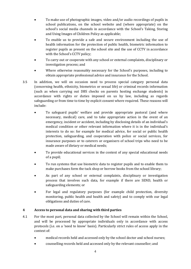- To make use of photographic images, video and/or audio recordings of pupils in school publications, on the school website and (where appropriate) on the school's social media channels in accordance with the School's Taking, Storing and Using Images of Children Policy as applicable;
- To enable us to provide a safe and secure environment including the use of health information for the protection of public health, biometric information to register pupils as present on the school site and the use of CCTV in accordance with the School's CCTV policy;
- To carry out or cooperate with any school or external complaints, disciplinary or investigation process; and
- Where otherwise reasonably necessary for the School's purposes, including to obtain appropriate professional advice and insurance for the School.
- 3.5 In addition, we will on occasion need to process special category personal data (concerning health, ethnicity, biometrics or sexual life) or criminal records information (such as when carrying out DBS checks on parents hosting exchange students) in accordance with rights or duties imposed on us by law, including as regards safeguarding or from time to time by explicit consent where required. These reasons will include:
	- To safeguard pupils' welfare and provide appropriate pastoral (and where necessary, medical) care, and to take appropriate action in the event of an emergency, incident or accident, including by disclosing details of an individual's medical condition or other relevant information where it is in the individual's interests to do so: for example for medical advice, for social or public health protection, safeguarding, and cooperation with police or social services, for insurance purposes or to caterers or organisers of school trips who need to be made aware of dietary or medical needs;
	- To provide educational services in the context of any special educational needs of a pupil;
	- To run systems that use biometric data to register pupils and to enable them to make purchases form the tuck shop or borrow books from the school library;
	- As part of any school or external complaints, disciplinary or investigation process that involves such data, for example if there are SEND, health or safeguarding elements; or
	- For legal and regulatory purposes (for example child protection, diversity monitoring, public health and health and safety) and to comply with our legal obligations and duties of care.

# **4 Access to personal data and sharing with third parties**

- 4.1 For the most part, personal data collected by the School will remain within the School, and will be processed by appropriate individuals only in accordance with access protocols (i.e. on a 'need to know' basis). Particularly strict rules of access apply in the context of:
	- medical records held and accessed only by the school doctor and school nurses;
	- counselling records held and accessed only by the relevant counsellor; and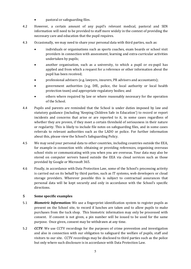- pastoral or safeguarding files.
- 4.2 However, a certain amount of any pupil's relevant medical, pastoral and SEN information will need to be provided to staff more widely in the context of providing the necessary care and education that the pupil requires.
- 4.3 Occasionally, we may need to share your personal data with third parties, such as:
	- individuals or organisations such as sports coaches, exam boards or school visit providers in connection with assessment, learning and extra-curricular activities undertaken by pupils;
	- another organisation, such as a university, to which a pupil or ex-pupil has applied and from which a request for a reference or other information about the pupil has been received;
	- professional advisers (e.g. lawyers, insurers, PR advisers and accountants);
	- government authorities (e.g. DfE, police, the local authority or local health protection team) and appropriate regulatory bodies; and
	- others where required by law or where reasonably necessary for the operation of the School.
- 4.4 Pupils and parents are reminded that the School is under duties imposed by law and statutory guidance (including 'Keeping Children Safe in Education') to record or report incidents and concerns that arise or are reported to it, in some cases regardless of whether they are proven, if they meet a certain threshold of seriousness in their nature or regularity. This is likely to include file notes on safeguarding files, and in some cases referrals to relevant authorities such as the LADO or police. For further information about this, please view the School's Safeguarding Policy.
- 4.5 We may send your personal data to other countries, including countries outside the EEA, for example in connection with: obtaining or providing references, organising overseas school visits or communicating with you when you are overseas. Your data may also be stored on computer servers based outside the EEA via cloud services such as those provided by Google or Microsoft 365.
- 4.6 Finally, in accordance with Data Protection Law, some of the School's processing activity is carried out on its behalf by third parties, such as IT systems, web developers or cloud storage providers. Wherever possible this is subject to contractual assurances that personal data will be kept securely and only in accordance with the School's specific directions.

#### **5 Some specific examples**

- 5.1 *Biometric Information:* We use a fingerprint identification system to register pupils as present on the School site, to record if lunches are taken and to allow pupils to make purchases from the tuck shop. This biometric information may only be processed with consent. If consent is not given, a pin number will be issued to be used for the same purpose. Once given, consent may be withdrawn at any time.
- 5.2 *CCTV*: We use CCTV recordings for the purposes of crime prevention and investigation and also in connection with our obligation to safeguard the welfare of pupils, staff and visitors to our site. CCTV recordings may be disclosed to third parties such as the police but only where such disclosure is in accordance with Data Protection Law.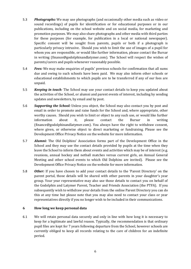- 5.3 *Photographs:* We may use photographs (and occasionally other media such as video or sound recordings) of pupils for identification or for educational purposes or in our publications, including on the school website and on social media, for marketing and promotion purposes. We may also share photographs and other media with third parties for these purposes (for example, for publication in a local or national newspaper). Specific consent will be sought from parents, pupils or both if a photograph is particularly privacy intrusive. Should you wish to limit the use of images of a pupil for whom you are responsible, or would like further information, please contact the Bursar in writing (finance@godolphinandlatymer.com). The School will respect the wishes of parents/carers and pupils whenever reasonably possible.
- 5.4 *Fees:* We may make enquiries of pupils' previous schools for confirmation that all sums due and owing to such schools have been paid. We may also inform other schools or educational establishments to which pupils are to be transferred if any of our fees are unpaid.
- 5.5 *Keeping in touch:* The School may use your contact details to keep you updated about the activities of the School, or alumni and parent events of interest, including by sending updates and newsletters, by email and by post.
- 5.6 *Supporting the School:* Unless you object, the School may also contact you by post and email in order to promote and raise funds for the School and, where appropriate, other worthy causes. Should you wish to limit or object to any such use, or would like further information about it, please contact the Bursar in writing (finance@godolphinandlatymer.com). You always have the right to withdraw consent, where given, or otherwise object to direct marketing or fundraising. Please see the Development Office Privacy Notice on the website for more information.
- 5.7 *Alumni:* The Old Dolphins' Association forms part of the Development Office in the School and they may use the contact details provided by pupils at the time when they leave the School to inform them about events and activities which may be of interest (e.g. reunions, annual hockey and netball matches versus current girls, an Annual General Meeting and other school events to which Old Dolphins are invited). Please see the Development Office Privacy Notice on the website for more information.
- 5.8 *Other:* If you have chosen to add your contact details to the 'Parent Directory' on the parent portal, those details will be shared with other parents in your daughter's year group. Your year representative may also use those details to contact you on behalf of the Godolphin and Latymer Parent, Teacher and Friends Association (the PTFA). If you subsequently wish to withdraw your details from the online Parent Directory you can do this at any time but please note that you may also need to contact your class or year representatives directly if you no longer wish to be included in their communications.

#### **6 How long we keep personal data**

6.1 We will retain personal data securely and only in line with how long it is necessary to keep for a legitimate and lawful reason. Typically, the recommendation is that ordinary pupil files are kept for 7 years following departure from the School, however schools are currently obliged to keep all records relating to the care of children for an indefinite period.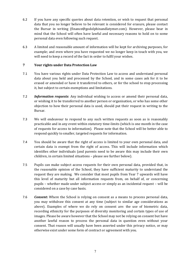- 6.2 If you have any specific queries about data retention, or wish to request that personal data that you no longer believe to be relevant is considered for erasure, please contact the Bursar in writing (finance@godolphinandlatymer.com). However, please bear in mind that the School will often have lawful and necessary reasons to hold on to some personal data even following such request.
- 6.3 A limited and reasonable amount of information will be kept for archiving purposes, for example; and even where you have requested we no longer keep in touch with you, we will need to keep a record of the fact in order to fulfil your wishes.

# **7 Your rights under Data Protection Law**

- 7.1 You have various rights under Data Protection Law to access and understand personal data about you held and processed by the School, and in some cases ask for it to be erased or amended or have it transferred to others, or for the school to stop processing it, but subject to certain exemptions and limitations.
- 7.2 *Information requests*: Any individual wishing to access or amend their personal data, or wishing it to be transferred to another person or organisation, or who has some other objection to how their personal data is used, should put their request in writing to the Bursar.
- 7.3 We will endeavour to respond to any such written requests as soon as is reasonably practicable and in any event within statutory time-limits (which is one month in the case of requests for access to information). Please note that the School will be better able to respond quickly to smaller, targeted requests for information.
- 7.4 You should be aware that the right of access is limited to your own personal data, and certain data is exempt from the right of access. This will include information which identifies other individuals (and parents need to be aware this may include their own children, in certain limited situations – please see further below).
- 7.5 Pupils can make subject access requests for their own personal data, provided that, in the reasonable opinion of the School, they have sufficient maturity to understand the request they are making. We consider that most pupils from Year 7 upwards will have this level of maturity but all information requests from, on behalf of, or concerning pupils – whether made under subject access or simply as an incidental request – will be considered on a case by case basis.
- 7.6 *Consent***:** Where the School is relying on consent as a means to process personal data, you may withdraw this consent at any time (subject to similar age considerations as above). Examples of where we do rely on consent are: the use of biometric data, recording ethnicity for the purposes of diversity monitoring and certain types of use of images. Please be aware however that the School may not be relying on consent but have another lawful reason to process the personal data in question even without your consent. That reason will usually have been asserted under this privacy notice, or may otherwise exist under some form of contract or agreement with you.